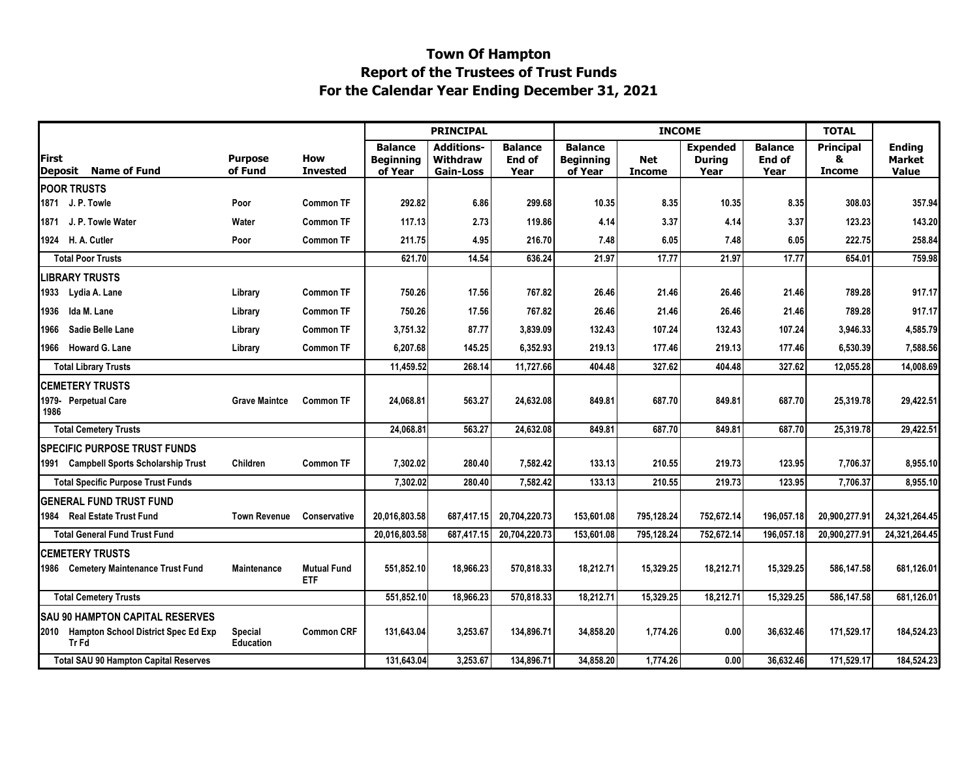## **Town Of Hampton For the Calendar Year Ending December 31, 2021 Report of the Trustees of Trust Funds**

|                        |                                                         |                             |                                  | <b>PRINCIPAL</b>                              |                                                   |                           |                                               | <b>INCOME</b>        | <b>TOTAL</b>                      |                                  |                                        |                                         |
|------------------------|---------------------------------------------------------|-----------------------------|----------------------------------|-----------------------------------------------|---------------------------------------------------|---------------------------|-----------------------------------------------|----------------------|-----------------------------------|----------------------------------|----------------------------------------|-----------------------------------------|
| First                  | Deposit Name of Fund                                    | <b>Purpose</b><br>of Fund   | How<br><b>Invested</b>           | <b>Balance</b><br><b>Beginning</b><br>of Year | <b>Additions-</b><br>Withdraw<br><b>Gain-Loss</b> | Balance<br>End of<br>Year | <b>Balance</b><br><b>Beginning</b><br>of Year | Net<br><b>Income</b> | <b>Expended</b><br>Durina<br>Year | <b>Balance</b><br>End of<br>Year | <b>Principal</b><br>&<br><b>Income</b> | <b>Ending</b><br><b>Market</b><br>Value |
| <b>POOR TRUSTS</b>     |                                                         |                             |                                  |                                               |                                                   |                           |                                               |                      |                                   |                                  |                                        |                                         |
| 1871 J. P. Towle       |                                                         | Poor                        | Common TF                        | 292.82                                        | 6.86                                              | 299.68                    | 10.35                                         | 8.35                 | 10.35                             | 8.35                             | 308.03                                 | 357.94                                  |
|                        | 1871 J. P. Towle Water                                  | Water                       | <b>Common TF</b>                 | 117.13                                        | 2.73                                              | 119.86                    | 4.14                                          | 3.37                 | 4.14                              | 3.37                             | 123.23                                 | 143.20                                  |
|                        | 1924 H. A. Cutler                                       | Poor                        | <b>Common TF</b>                 | 211.75                                        | 4.95                                              | 216.70                    | 7.48                                          | 6.05                 | 7.48                              | 6.05                             | 222.75                                 | 258.84                                  |
|                        | <b>Total Poor Trusts</b>                                |                             |                                  | 621.70                                        | 14.54                                             | 636.24                    | 21.97                                         | 17.77                | 21.97                             | 17.77                            | 654.01                                 | 759.98                                  |
| <b>LIBRARY TRUSTS</b>  |                                                         |                             |                                  |                                               |                                                   |                           |                                               |                      |                                   |                                  |                                        |                                         |
|                        | 1933 Lydia A. Lane                                      | Library                     | Common TF                        | 750.26                                        | 17.56                                             | 767.82                    | 26.46                                         | 21.46                | 26.46                             | 21.46                            | 789.28                                 | 917.17                                  |
| 1936                   | Ida M. Lane                                             | Library                     | <b>Common TF</b>                 | 750.26                                        | 17.56                                             | 767.82                    | 26.46                                         | 21.46                | 26.46                             | 21.46                            | 789.28                                 | 917.17                                  |
| 1966                   | Sadie Belle Lane                                        | Library                     | <b>Common TF</b>                 | 3,751.32                                      | 87.77                                             | 3,839.09                  | 132.43                                        | 107.24               | 132.43                            | 107.24                           | 3,946.33                               | 4,585.79                                |
|                        | 1966 Howard G. Lane                                     | Library                     | <b>Common TF</b>                 | 6,207.68                                      | 145.25                                            | 6,352.93                  | 219.13                                        | 177.46               | 219.13                            | 177.46                           | 6.530.39                               | 7,588.56                                |
|                        | <b>Total Library Trusts</b>                             |                             |                                  | 11,459.52                                     | 268.14                                            | 11,727.66                 | 404.48                                        | 327.62               | 404.48                            | 327.62                           | 12,055.28                              | 14,008.69                               |
| <b>CEMETERY TRUSTS</b> |                                                         |                             |                                  |                                               |                                                   |                           |                                               |                      |                                   |                                  |                                        |                                         |
| 1986                   | 1979- Perpetual Care                                    | <b>Grave Maintce</b>        | <b>Common TF</b>                 | 24,068.81                                     | 563.27                                            | 24,632.08                 | 849.81                                        | 687.70               | 849.81                            | 687.70                           | 25,319.78                              | 29,422.51                               |
|                        | <b>Total Cemetery Trusts</b>                            |                             |                                  | 24,068.81                                     | 563.27                                            | 24,632.08                 | 849.81                                        | 687.70               | 849.81                            | 687.70                           | 25,319.78                              | 29,422.51                               |
|                        | <b>ISPECIFIC PURPOSE TRUST FUNDS</b>                    |                             |                                  |                                               |                                                   |                           |                                               |                      |                                   |                                  |                                        |                                         |
|                        | 1991 Campbell Sports Scholarship Trust                  | Children                    | Common TF                        | 7,302.02                                      | 280.40                                            | 7,582.42                  | 133.13                                        | 210.55               | 219.73                            | 123.95                           | 7.706.37                               | 8,955.10                                |
|                        | <b>Total Specific Purpose Trust Funds</b>               |                             |                                  | 7,302.02                                      | 280.40                                            | 7,582.42                  | 133.13                                        | 210.55               | 219.73                            | 123.95                           | 7,706.37                               | 8,955.10                                |
|                        | <b>IGENERAL FUND TRUST FUND</b>                         |                             |                                  |                                               |                                                   |                           |                                               |                      |                                   |                                  |                                        |                                         |
|                        | 1984 Real Estate Trust Fund                             | <b>Town Revenue</b>         | Conservative                     | 20,016,803.58                                 | 687,417.15                                        | 20,704,220.73             | 153,601.08                                    | 795,128.24           | 752,672.14                        | 196,057.18                       | 20,900,277.91                          | 24,321,264.45                           |
|                        | <b>Total General Fund Trust Fund</b>                    |                             |                                  | 20,016,803.58                                 | 687,417.15                                        | 20,704,220.73             | 153.601.08                                    | 795.128.24           | 752,672.14                        | 196,057.18                       | 20,900,277.91                          | 24,321,264.45                           |
|                        | <b>CEMETERY TRUSTS</b>                                  |                             |                                  |                                               |                                                   |                           |                                               |                      |                                   |                                  |                                        |                                         |
|                        | 1986 Cemetery Maintenance Trust Fund                    | Maintenance                 | <b>Mutual Fund</b><br><b>ETF</b> | 551,852.10                                    | 18,966.23                                         | 570,818.33                | 18,212.71                                     | 15,329.25            | 18,212.71                         | 15,329.25                        | 586,147.58                             | 681,126.01                              |
|                        | <b>Total Cemetery Trusts</b>                            |                             |                                  | 551,852.10                                    | 18,966.23                                         | 570,818.33                | 18,212.71                                     | 15.329.25            | 18,212.71                         | 15,329.25                        | 586.147.58                             | 681,126.01                              |
|                        | <b>SAU 90 HAMPTON CAPITAL RESERVES</b>                  |                             |                                  |                                               |                                                   |                           |                                               |                      |                                   |                                  |                                        |                                         |
|                        | 2010 Hampton School District Spec Ed Exp<br><b>TrFd</b> | Special<br><b>Education</b> | <b>Common CRF</b>                | 131.643.04                                    | 3,253.67                                          | 134.896.71                | 34.858.20                                     | 1.774.26             | 0.00                              | 36.632.46                        | 171.529.17                             | 184,524.23                              |
|                        | <b>Total SAU 90 Hampton Capital Reserves</b>            |                             |                                  | 131,643.04                                    | 3,253.67                                          | 134,896.71                | 34,858.20                                     | 1,774.26             | 0.00                              | 36,632.46                        | 171,529.17                             | 184,524.23                              |